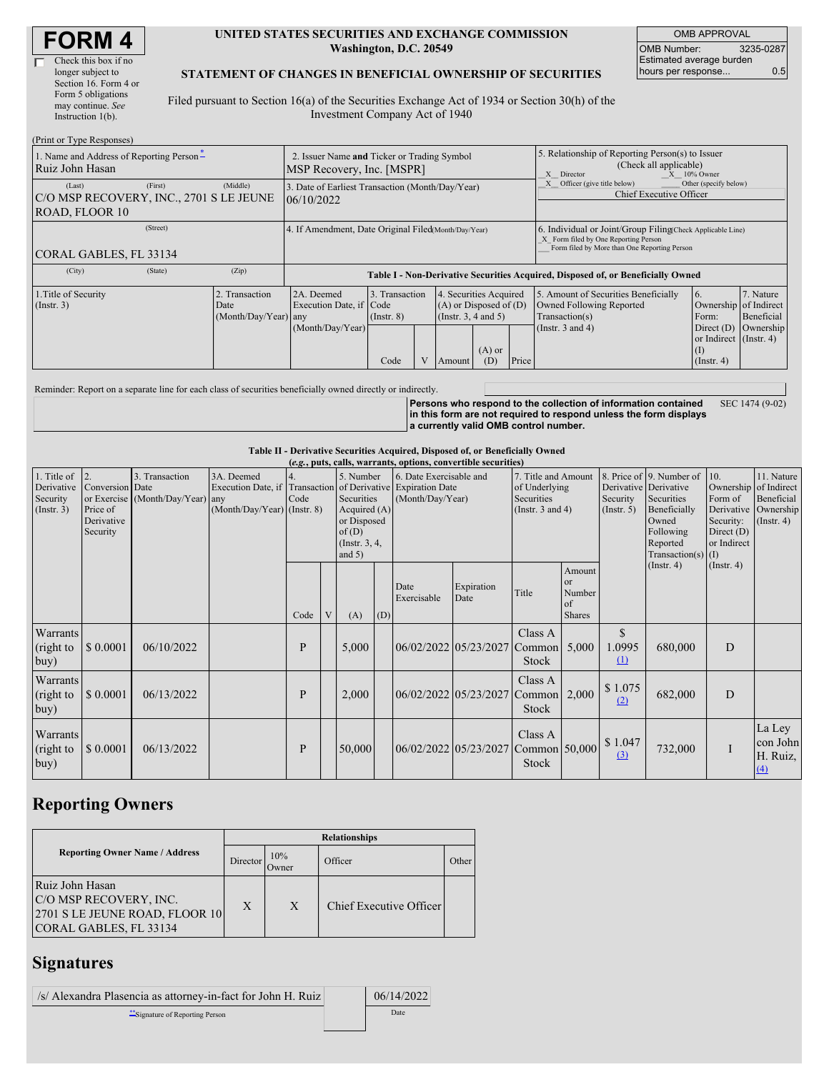#### **UNITED STATES SECURITIES AND EXCHANGE COMMISSION Washington, D.C. 20549**

OMB APPROVAL OMB Number: 3235-0287 Estimated average burden hours per response... 0.5

### **STATEMENT OF CHANGES IN BENEFICIAL OWNERSHIP OF SECURITIES**

Filed pursuant to Section 16(a) of the Securities Exchange Act of 1934 or Section 30(h) of the Investment Company Act of 1940

| (Print or Type Responses)                                           |                                                                          |                                                      |                                                                                  |                                   |  |                                                                                              |                                                                                                              |                                                                                                                                                    |                                                                                                             |                                                                                       |                                      |
|---------------------------------------------------------------------|--------------------------------------------------------------------------|------------------------------------------------------|----------------------------------------------------------------------------------|-----------------------------------|--|----------------------------------------------------------------------------------------------|--------------------------------------------------------------------------------------------------------------|----------------------------------------------------------------------------------------------------------------------------------------------------|-------------------------------------------------------------------------------------------------------------|---------------------------------------------------------------------------------------|--------------------------------------|
| 1. Name and Address of Reporting Person-<br>Ruiz John Hasan         | 2. Issuer Name and Ticker or Trading Symbol<br>MSP Recovery, Inc. [MSPR] |                                                      |                                                                                  |                                   |  |                                                                                              | 5. Relationship of Reporting Person(s) to Issuer<br>(Check all applicable)<br>X Director<br>$X = 10\%$ Owner |                                                                                                                                                    |                                                                                                             |                                                                                       |                                      |
| (Last)<br>C/O MSP RECOVERY, INC., 2701 S LE JEUNE<br>ROAD, FLOOR 10 | (First)                                                                  | (Middle)                                             | 3. Date of Earliest Transaction (Month/Day/Year)<br>06/10/2022                   |                                   |  |                                                                                              |                                                                                                              | Other (specify below)<br>Officer (give title below)<br><b>Chief Executive Officer</b>                                                              |                                                                                                             |                                                                                       |                                      |
| CORAL GABLES, FL 33134                                              |                                                                          | 4. If Amendment, Date Original Filed Month/Day/Year) |                                                                                  |                                   |  |                                                                                              |                                                                                                              | 6. Individual or Joint/Group Filing Check Applicable Line)<br>X Form filed by One Reporting Person<br>Form filed by More than One Reporting Person |                                                                                                             |                                                                                       |                                      |
| (City)                                                              | (State)                                                                  | (Zip)                                                | Table I - Non-Derivative Securities Acquired, Disposed of, or Beneficially Owned |                                   |  |                                                                                              |                                                                                                              |                                                                                                                                                    |                                                                                                             |                                                                                       |                                      |
| 1. Title of Security<br>$($ Instr. 3 $)$                            |                                                                          | 2. Transaction<br>Date<br>(Month/Day/Year) any       | 2A. Deemed<br>Execution Date, if Code<br>(Month/Day/Year)                        | 3. Transaction<br>$($ Instr. $8)$ |  | 4. Securities Acquired<br>$(A)$ or Disposed of $(D)$<br>(Instr. $3, 4$ and $5$ )<br>$(A)$ or |                                                                                                              |                                                                                                                                                    | 5. Amount of Securities Beneficially<br>Owned Following Reported<br>Transaction(s)<br>(Instr. $3$ and $4$ ) | 6.<br>Ownership of Indirect<br>Form:<br>Direct $(D)$<br>or Indirect (Instr. 4)<br>(1) | 7. Nature<br>Beneficial<br>Ownership |
|                                                                     |                                                                          |                                                      |                                                                                  | Code                              |  | Amount                                                                                       | (D)                                                                                                          | Price                                                                                                                                              |                                                                                                             | $($ Instr. 4 $)$                                                                      |                                      |

Reminder: Report on a separate line for each class of securities beneficially owned directly or indirectly.

**Persons who respond to the collection of information contained in this form are not required to respond unless the form displays a currently valid OMB control number.** SEC 1474 (9-02)

### **Table II - Derivative Securities Acquired, Disposed of, or Beneficially Owned**

| (e.g., puts, calls, warrants, options, convertible securities) |                                                            |                                                    |                                           |              |   |                   |                                                                                                                                                                                            |                     |                                                                             |                  |                                                  |                                                                                                            |                                                                                              |                                                                          |                                                    |
|----------------------------------------------------------------|------------------------------------------------------------|----------------------------------------------------|-------------------------------------------|--------------|---|-------------------|--------------------------------------------------------------------------------------------------------------------------------------------------------------------------------------------|---------------------|-----------------------------------------------------------------------------|------------------|--------------------------------------------------|------------------------------------------------------------------------------------------------------------|----------------------------------------------------------------------------------------------|--------------------------------------------------------------------------|----------------------------------------------------|
| 1. Title of<br>Derivative<br>Security<br>(Insert. 3)           | 2<br>Conversion Date<br>Price of<br>Derivative<br>Security | 3. Transaction<br>or Exercise (Month/Day/Year) any | 3A. Deemed<br>(Month/Day/Year) (Instr. 8) | Code         |   | of(D)<br>and $5)$ | 6. Date Exercisable and<br>5. Number<br>Execution Date, if Transaction of Derivative Expiration Date<br>Securities<br>(Month/Day/Year)<br>Acquired $(A)$<br>or Disposed<br>(Instr. $3, 4,$ |                     | 7. Title and Amount<br>of Underlying<br>Securities<br>(Instr. $3$ and $4$ ) |                  | Derivative Derivative<br>Security<br>(Insert. 5) | 8. Price of 9. Number of<br>Securities<br>Beneficially<br>Owned<br>Following<br>Reported<br>Transaction(s) | 10.<br>Ownership<br>Form of<br>Derivative<br>Security:<br>Direct $(D)$<br>or Indirect<br>(I) | 11. Nature<br>of Indirect<br>Beneficial<br>Ownership<br>$($ Instr. 4 $)$ |                                                    |
|                                                                |                                                            |                                                    |                                           | Code         | V | (A)               | (D)                                                                                                                                                                                        | Date<br>Exercisable | Expiration<br>Date                                                          | Title            | Amount<br>or<br>Number<br>of<br><b>Shares</b>    |                                                                                                            | $($ Instr. 4 $)$                                                                             | $($ Instr. 4 $)$                                                         |                                                    |
| Warrants<br>(right to<br>buy)                                  | \$0.0001                                                   | 06/10/2022                                         |                                           | $\mathbf{P}$ |   | 5,000             |                                                                                                                                                                                            |                     | 06/02/2022 05/23/2027 Common 5,000                                          | Class A<br>Stock |                                                  | $\mathbb{S}$<br>1.0995<br>(1)                                                                              | 680,000                                                                                      | D                                                                        |                                                    |
| Warrants<br>(right to<br>buy)                                  | \$0.0001                                                   | 06/13/2022                                         |                                           | P            |   | 2,000             |                                                                                                                                                                                            |                     | 06/02/2022 05/23/2027 Common 2,000                                          | Class A<br>Stock |                                                  | \$1.075<br>(2)                                                                                             | 682,000                                                                                      | $\overline{D}$                                                           |                                                    |
| Warrants<br>(right to<br>buy)                                  | \$0.0001                                                   | 06/13/2022                                         |                                           | P            |   | 50,000            |                                                                                                                                                                                            |                     | 06/02/2022 05/23/2027 Common 50,000                                         | Class A<br>Stock |                                                  | \$1.047<br>(3)                                                                                             | 732,000                                                                                      |                                                                          | La Ley<br>con John<br>H. Ruiz,<br>$\left(4\right)$ |

## **Reporting Owners**

|                                                                                                              | <b>Relationships</b> |                      |                         |       |  |  |  |  |
|--------------------------------------------------------------------------------------------------------------|----------------------|----------------------|-------------------------|-------|--|--|--|--|
| <b>Reporting Owner Name / Address</b>                                                                        | Director             | 10%<br><b>J</b> wner | Officer                 | Other |  |  |  |  |
| Ruiz John Hasan<br><b>C/O MSP RECOVERY, INC.</b><br>2701 S LE JEUNE ROAD, FLOOR 10<br>CORAL GABLES, FL 33134 | X                    | X                    | Chief Executive Officer |       |  |  |  |  |

# **Signatures**

| /s/ Alexandra Plasencia as attorney-in-fact for John H. Ruiz | 06/14/2022 |
|--------------------------------------------------------------|------------|
| Signature of Reporting Person                                | Date       |